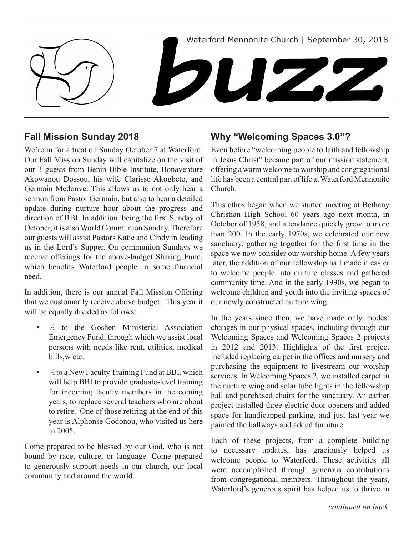

# **Fall Mission Sunday 2018**

We're in for a treat on Sunday October 7 at Waterford. Our Fall Mission Sunday will capitalize on the visit of our 3 guests from Benin Bible Institute, Bonaventure Akowanou Dossou, his wife Clarisse Akogbeto, and Germain Medonve. This allows us to not only hear a sermon from Pastor Germain, but also to hear a detailed update during nurture hour about the progress and direction of BBI. In addition, being the first Sunday of October, it is also World Communion Sunday. Therefore our guests will assist Pastors Katie and Cindy in leading us in the Lord's Supper. On communion Sundays we receive offerings for the above-budget Sharing Fund, which benefits Waterford people in some financial need.

In addition, there is our annual Fall Mission Offering that we customarily receive above budget. This year it will be equally divided as follows:

- $\frac{1}{2}$  to the Goshen Ministerial Association Emergency Fund, through which we assist local persons with needs like rent, utilities, medical bills,w etc.
- $\frac{1}{2}$  to a New Faculty Training Fund at BBI, which will help BBI to provide graduate-level training for incoming faculty members in the coming years, to replace several teachers who are about to retire. One of those retiring at the end of this year is Alphonse Godonou, who visited us here in 2005.

Come prepared to be blessed by our God, who is not bound by race, culture, or language. Come prepared to generously support needs in our church, our local community and around the world.

# **Why "Welcoming Spaces 3.0"?**

Even before "welcoming people to faith and fellowship in Jesus Christ" became part of our mission statement, offering a warm welcome to worship and congregational life has been a central part of life at Waterford Mennonite Church.

This ethos began when we started meeting at Bethany Christian High School 60 years ago next month, in October of 1958, and attendance quickly grew to more than 200. In the early 1970s, we celebrated our new sanctuary, gathering together for the first time in the space we now consider our worship home. A few years later, the addition of our fellowship hall made it easier to welcome people into nurture classes and gathered community time. And in the early 1990s, we began to welcome children and youth into the inviting spaces of our newly constructed nurture wing.

In the years since then, we have made only modest changes in our physical spaces, including through our Welcoming Spaces and Welcoming Spaces 2 projects in 2012 and 2013. Highlights of the first project included replacing carpet in the offices and nursery and purchasing the equipment to livestream our worship services. In Welcoming Spaces 2, we installed carpet in the nurture wing and solar tube lights in the fellowship hall and purchased chairs for the sanctuary. An earlier project installed three electric door openers and added space for handicapped parking, and just last year we painted the hallways and added furniture.

Each of these projects, from a complete building to necessary updates, has graciously helped us welcome people to Waterford. These activities all were accomplished through generous contributions from congregational members. Throughout the years, Waterford's generous spirit has helped us to thrive in